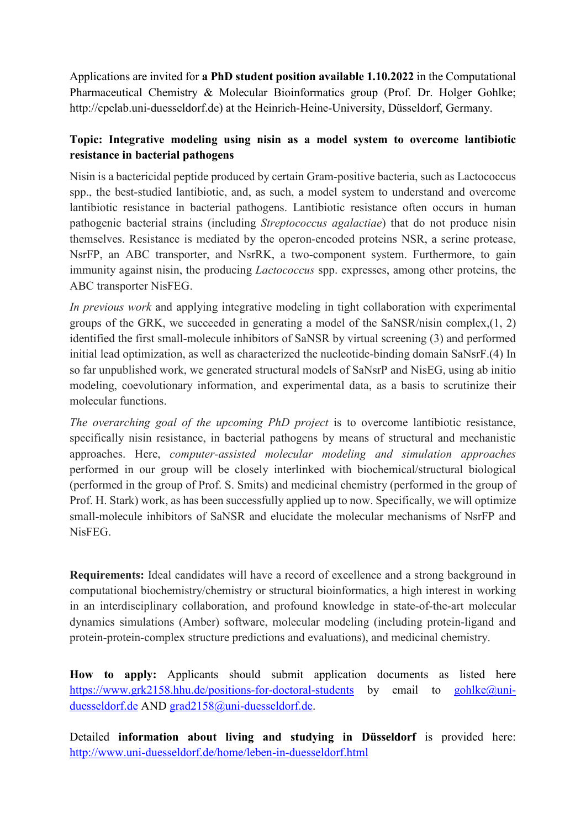Applications are invited for **a PhD student position available 1.10.2022** in the Computational Pharmaceutical Chemistry & Molecular Bioinformatics group (Prof. Dr. Holger Gohlke; http://cpclab.uni-duesseldorf.de) at the Heinrich-Heine-University, Düsseldorf, Germany.

## **Topic: Integrative modeling using nisin as a model system to overcome lantibiotic resistance in bacterial pathogens**

Nisin is a bactericidal peptide produced by certain Gram-positive bacteria, such as Lactococcus spp., the best-studied lantibiotic, and, as such, a model system to understand and overcome lantibiotic resistance in bacterial pathogens. Lantibiotic resistance often occurs in human pathogenic bacterial strains (including *Streptococcus agalactiae*) that do not produce nisin themselves. Resistance is mediated by the operon-encoded proteins NSR, a serine protease, NsrFP, an ABC transporter, and NsrRK, a two-component system. Furthermore, to gain immunity against nisin, the producing *Lactococcus* spp. expresses, among other proteins, the ABC transporter NisFEG.

*In previous work* and applying integrative modeling in tight collaboration with experimental groups of the GRK, we succeeded in generating a model of the SaNSR/nisin complex, $(1, 2)$ identified the first small-molecule inhibitors of SaNSR by virtual screening (3) and performed initial lead optimization, as well as characterized the nucleotide-binding domain SaNsrF.(4) In so far unpublished work, we generated structural models of SaNsrP and NisEG, using ab initio modeling, coevolutionary information, and experimental data, as a basis to scrutinize their molecular functions.

*The overarching goal of the upcoming PhD project* is to overcome lantibiotic resistance, specifically nisin resistance, in bacterial pathogens by means of structural and mechanistic approaches. Here, *computer-assisted molecular modeling and simulation approaches* performed in our group will be closely interlinked with biochemical/structural biological (performed in the group of Prof. S. Smits) and medicinal chemistry (performed in the group of Prof. H. Stark) work, as has been successfully applied up to now. Specifically, we will optimize small-molecule inhibitors of SaNSR and elucidate the molecular mechanisms of NsrFP and NisFEG.

**Requirements:** Ideal candidates will have a record of excellence and a strong background in computational biochemistry/chemistry or structural bioinformatics, a high interest in working in an interdisciplinary collaboration, and profound knowledge in state-of-the-art molecular dynamics simulations (Amber) software, molecular modeling (including protein-ligand and protein-protein-complex structure predictions and evaluations), and medicinal chemistry.

**How to apply:** Applicants should submit application documents as listed here <https://www.grk2158.hhu.de/positions-for-doctoral-students> by email to [gohlke@uni](mailto:gohlke@uni-duesseldorf.de)[duesseldorf.de](mailto:gohlke@uni-duesseldorf.de) AND [grad2158@uni-duesseldorf.de.](mailto:grad2158@uni-duesseldorf.de)

Detailed **information about living and studying in Düsseldorf** is provided here: <http://www.uni-duesseldorf.de/home/leben-in-duesseldorf.html>